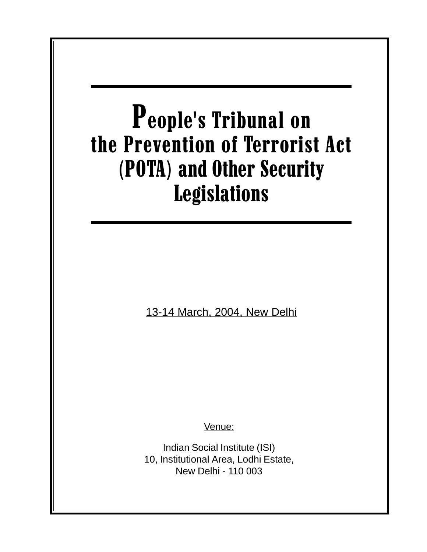# People's Tribunal on the Prevention of Terrorist Act (POTA) and Other Security Legislations 13-14 March, 2004, New Delhi Venue: Indian Social Institute (ISI) 10, Institutional Area, Lodhi Estate, New Delhi - 110 003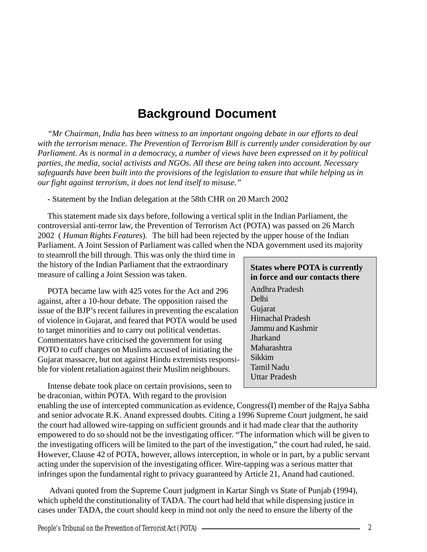# **Background Document**

*"Mr Chairman, India has been witness to an important ongoing debate in our efforts to deal with the terrorism menace. The Prevention of Terrorism Bill is currently under consideration by our Parliament. As is normal in a democracy, a number of views have been expressed on it by political parties, the media, social activists and NGOs. All these are being taken into account. Necessary safeguards have been built into the provisions of the legislation to ensure that while helping us in our fight against terrorism, it does not lend itself to misuse."*

- Statement by the Indian delegation at the 58th CHR on 20 March 2002

This statement made six days before, following a vertical split in the Indian Parliament, the controversial anti-terror law, the Prevention of Terrorism Act (POTA) was passed on 26 March 2002 ( *Human Rights Features*). The bill had been rejected by the upper house of the Indian Parliament. A Joint Session of Parliament was called when the NDA government used its majority

to steamroll the bill through. This was only the third time in the history of the Indian Parliament that the extraordinary measure of calling a Joint Session was taken.

POTA became law with 425 votes for the Act and 296 against, after a 10-hour debate. The opposition raised the issue of the BJP's recent failures in preventing the escalation of violence in Gujarat, and feared that POTA would be used to target minorities and to carry out political vendettas. Commentators have criticised the government for using POTO to cuff charges on Muslims accused of initiating the Gujarat massacre, but not against Hindu extremists responsible for violent retaliation against their Muslim neighbours.

**States where POTA is currently in force and our contacts there** Andhra Pradesh Delhi Gujarat Himachal Pradesh Jammu and Kashmir **Jharkand** Maharashtra Sikkim Tamil Nadu Uttar Pradesh

Intense debate took place on certain provisions, seen to be draconian, within POTA. With regard to the provision

enabling the use of intercepted communication as evidence, Congress(I) member of the Rajya Sabha and senior advocate R.K. Anand expressed doubts. Citing a 1996 Supreme Court judgment, he said the court had allowed wire-tapping on sufficient grounds and it had made clear that the authority empowered to do so should not be the investigating officer. "The information which will be given to the investigating officers will be limited to the part of the investigation," the court had ruled, he said. However, Clause 42 of POTA, however, allows interception, in whole or in part, by a public servant acting under the supervision of the investigating officer. Wire-tapping was a serious matter that infringes upon the fundamental right to privacy guaranteed by Article 21, Anand had cautioned.

 Advani quoted from the Supreme Court judgment in Kartar Singh vs State of Punjab (1994), which upheld the constitutionality of TADA. The court had held that while dispensing justice in cases under TADA, the court should keep in mind not only the need to ensure the liberty of the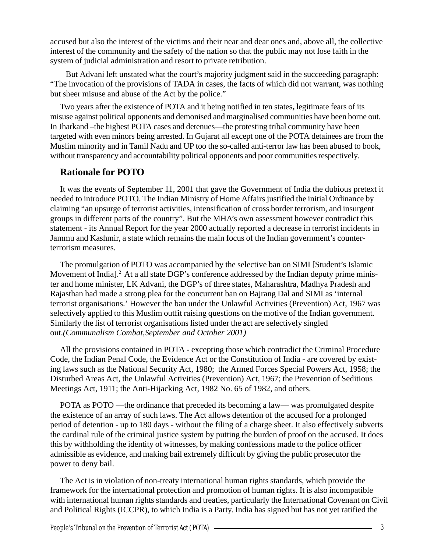accused but also the interest of the victims and their near and dear ones and, above all, the collective interest of the community and the safety of the nation so that the public may not lose faith in the system of judicial administration and resort to private retribution.

 But Advani left unstated what the court's majority judgment said in the succeeding paragraph: "The invocation of the provisions of TADA in cases, the facts of which did not warrant, was nothing but sheer misuse and abuse of the Act by the police."

Two years after the existence of POTA and it being notified in ten states**,** legitimate fears of its misuse against political opponents and demonised and marginalised communities have been borne out. In Jharkand –the highest POTA cases and detenues—the protesting tribal community have been targeted with even minors being arrested. In Gujarat all except one of the POTA detainees are from the Muslim minority and in Tamil Nadu and UP too the so-called anti-terror law has been abused to book, without transparency and accountability political opponents and poor communities respectively.

# **Rationale for POTO**

It was the events of September 11, 2001 that gave the Government of India the dubious pretext it needed to introduce POTO. The Indian Ministry of Home Affairs justified the initial Ordinance by claiming "an upsurge of terrorist activities, intensification of cross border terrorism, and insurgent groups in different parts of the country". But the MHA's own assessment however contradict this statement - its Annual Report for the year 2000 actually reported a decrease in terrorist incidents in Jammu and Kashmir, a state which remains the main focus of the Indian government's counterterrorism measures.

The promulgation of POTO was accompanied by the selective ban on SIMI [Student's Islamic Movement of India].<sup>2</sup> At a all state DGP's conference addressed by the Indian deputy prime minister and home minister, LK Advani, the DGP's of three states, Maharashtra, Madhya Pradesh and Rajasthan had made a strong plea for the concurrent ban on Bajrang Dal and SIMI as 'internal terrorist organisations.' However the ban under the Unlawful Activities (Prevention) Act, 1967 was selectively applied to this Muslim outfit raising questions on the motive of the Indian government. Similarly the list of terrorist organisations listed under the act are selectively singled out.*(Communalism Combat,September and October 2001)*

All the provisions contained in POTA - excepting those which contradict the Criminal Procedure Code, the Indian Penal Code, the Evidence Act or the Constitution of India - are covered by existing laws such as the National Security Act, 1980; the Armed Forces Special Powers Act, 1958; the Disturbed Areas Act, the Unlawful Activities (Prevention) Act, 1967; the Prevention of Seditious Meetings Act, 1911; the Anti-Hijacking Act, 1982 No. 65 of 1982, and others.

POTA as POTO —the ordinance that preceded its becoming a law— was promulgated despite the existence of an array of such laws. The Act allows detention of the accused for a prolonged period of detention - up to 180 days - without the filing of a charge sheet. It also effectively subverts the cardinal rule of the criminal justice system by putting the burden of proof on the accused. It does this by withholding the identity of witnesses, by making confessions made to the police officer admissible as evidence, and making bail extremely difficult by giving the public prosecutor the power to deny bail.

The Act is in violation of non-treaty international human rights standards, which provide the framework for the international protection and promotion of human rights. It is also incompatible with international human rights standards and treaties, particularly the International Covenant on Civil and Political Rights (ICCPR), to which India is a Party. India has signed but has not yet ratified the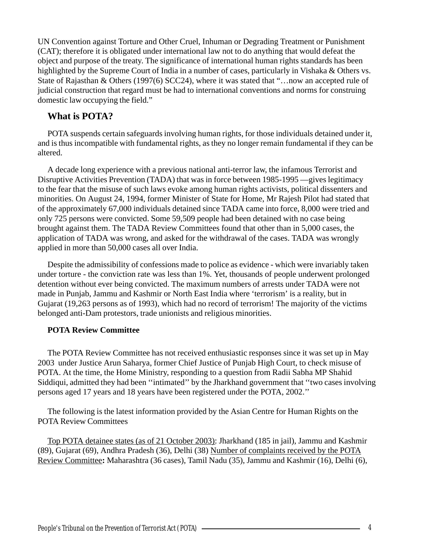UN Convention against Torture and Other Cruel, Inhuman or Degrading Treatment or Punishment (CAT); therefore it is obligated under international law not to do anything that would defeat the object and purpose of the treaty. The significance of international human rights standards has been highlighted by the Supreme Court of India in a number of cases, particularly in Vishaka & Others vs. State of Rajasthan & Others (1997(6) SCC24), where it was stated that "…now an accepted rule of judicial construction that regard must be had to international conventions and norms for construing domestic law occupying the field."

# **What is POTA?**

POTA suspends certain safeguards involving human rights, for those individuals detained under it, and is thus incompatible with fundamental rights, as they no longer remain fundamental if they can be altered.

A decade long experience with a previous national anti-terror law, the infamous Terrorist and Disruptive Activities Prevention (TADA) that was in force between 1985-1995 —gives legitimacy to the fear that the misuse of such laws evoke among human rights activists, political dissenters and minorities. On August 24, 1994, former Minister of State for Home, Mr Rajesh Pilot had stated that of the approximately 67,000 individuals detained since TADA came into force, 8,000 were tried and only 725 persons were convicted. Some 59,509 people had been detained with no case being brought against them. The TADA Review Committees found that other than in 5,000 cases, the application of TADA was wrong, and asked for the withdrawal of the cases. TADA was wrongly applied in more than 50,000 cases all over India.

Despite the admissibility of confessions made to police as evidence - which were invariably taken under torture - the conviction rate was less than 1%. Yet, thousands of people underwent prolonged detention without ever being convicted. The maximum numbers of arrests under TADA were not made in Punjab, Jammu and Kashmir or North East India where 'terrorism' is a reality, but in Gujarat (19,263 persons as of 1993), which had no record of terrorism! The majority of the victims belonged anti-Dam protestors, trade unionists and religious minorities.

# **POTA Review Committee**

The POTA Review Committee has not received enthusiastic responses since it was set up in May 2003 under Justice Arun Saharya, former Chief Justice of Punjab High Court, to check misuse of POTA. At the time, the Home Ministry, responding to a question from Radii Sabha MP Shahid Siddiqui, admitted they had been ''intimated'' by the Jharkhand government that ''two cases involving persons aged 17 years and 18 years have been registered under the POTA, 2002.''

The following is the latest information provided by the Asian Centre for Human Rights on the POTA Review Committees

Top POTA detainee states (as of 21 October 2003): Jharkhand (185 in jail), Jammu and Kashmir (89), Gujarat (69), Andhra Pradesh (36), Delhi (38) Number of complaints received by the POTA Review Committee**:** Maharashtra (36 cases), Tamil Nadu (35), Jammu and Kashmir (16), Delhi (6),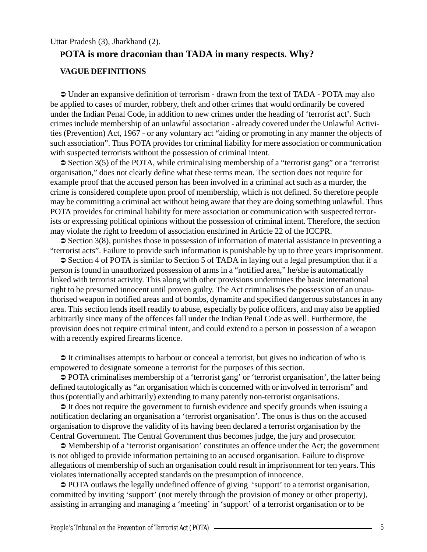#### Uttar Pradesh (3), Jharkhand (2).

# **POTA is more draconian than TADA in many respects. Why?**

#### **VAGUE DEFINITIONS**

 $\supset$  Under an expansive definition of terrorism - drawn from the text of TADA - POTA may also be applied to cases of murder, robbery, theft and other crimes that would ordinarily be covered under the Indian Penal Code, in addition to new crimes under the heading of 'terrorist act'. Such crimes include membership of an unlawful association - already covered under the Unlawful Activities (Prevention) Act, 1967 - or any voluntary act "aiding or promoting in any manner the objects of such association". Thus POTA provides for criminal liability for mere association or communication with suspected terrorists without the possession of criminal intent.

 $\Im$  Section 3(5) of the POTA, while criminalising membership of a "terrorist gang" or a "terrorist" organisation," does not clearly define what these terms mean. The section does not require for example proof that the accused person has been involved in a criminal act such as a murder, the crime is considered complete upon proof of membership, which is not defined. So therefore people may be committing a criminal act without being aware that they are doing something unlawful. Thus POTA provides for criminal liability for mere association or communication with suspected terrorists or expressing political opinions without the possession of criminal intent. Therefore, the section may violate the right to freedom of association enshrined in Article 22 of the ICCPR.

 $\infty$  Section 3(8), punishes those in possession of information of material assistance in preventing a "terrorist acts". Failure to provide such information is punishable by up to three years imprisonment.

 $\supset$  Section 4 of POTA is similar to Section 5 of TADA in laying out a legal presumption that if a person is found in unauthorized possession of arms in a "notified area," he/she is automatically linked with terrorist activity. This along with other provisions undermines the basic international right to be presumed innocent until proven guilty. The Act criminalises the possession of an unauthorised weapon in notified areas and of bombs, dynamite and specified dangerous substances in any area. This section lends itself readily to abuse, especially by police officers, and may also be applied arbitrarily since many of the offences fall under the Indian Penal Code as well. Furthermore, the provision does not require criminal intent, and could extend to a person in possession of a weapon with a recently expired firearms licence.

 $\supset$  It criminalises attempts to harbour or conceal a terrorist, but gives no indication of who is empowered to designate someone a terrorist for the purposes of this section.

Ü POTA criminalises membership of a 'terrorist gang' or 'terrorist organisation', the latter being defined tautologically as "an organisation which is concerned with or involved in terrorism" and thus (potentially and arbitrarily) extending to many patently non-terrorist organisations.

 $\supset$  It does not require the government to furnish evidence and specify grounds when issuing a notification declaring an organisation a 'terrorist organisation'. The onus is thus on the accused organisation to disprove the validity of its having been declared a terrorist organisation by the Central Government. The Central Government thus becomes judge, the jury and prosecutor.

Ü Membership of a 'terrorist organisation' constitutes an offence under the Act; the government is not obliged to provide information pertaining to an accused organisation. Failure to disprove allegations of membership of such an organisation could result in imprisonment for ten years. This violates internationally accepted standards on the presumption of innocence.

 $\supset$  POTA outlaws the legally undefined offence of giving 'support' to a terrorist organisation, committed by inviting 'support' (not merely through the provision of money or other property), assisting in arranging and managing a 'meeting' in 'support' of a terrorist organisation or to be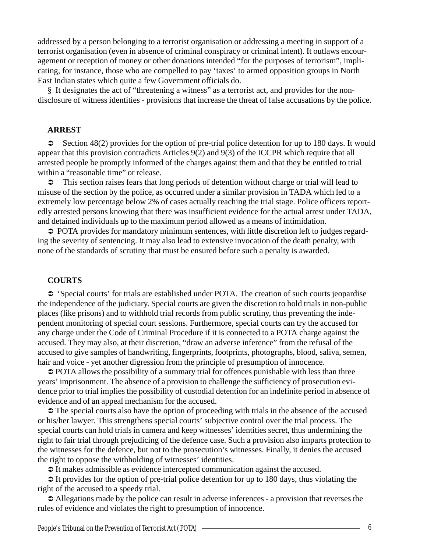addressed by a person belonging to a terrorist organisation or addressing a meeting in support of a terrorist organisation (even in absence of criminal conspiracy or criminal intent). It outlaws encouragement or reception of money or other donations intended "for the purposes of terrorism", implicating, for instance, those who are compelled to pay 'taxes' to armed opposition groups in North East Indian states which quite a few Government officials do.

§ It designates the act of "threatening a witness" as a terrorist act, and provides for the nondisclosure of witness identities - provisions that increase the threat of false accusations by the police.

#### **ARREST**

 $\degree$  Section 48(2) provides for the option of pre-trial police detention for up to 180 days. It would appear that this provision contradicts Articles 9(2) and 9(3) of the ICCPR which require that all arrested people be promptly informed of the charges against them and that they be entitled to trial within a "reasonable time" or release.

 $\heartsuit$  This section raises fears that long periods of detention without charge or trial will lead to misuse of the section by the police, as occurred under a similar provision in TADA which led to a extremely low percentage below 2% of cases actually reaching the trial stage. Police officers reportedly arrested persons knowing that there was insufficient evidence for the actual arrest under TADA, and detained individuals up to the maximum period allowed as a means of intimidation.

 $\supset$  POTA provides for mandatory minimum sentences, with little discretion left to judges regarding the severity of sentencing. It may also lead to extensive invocation of the death penalty, with none of the standards of scrutiny that must be ensured before such a penalty is awarded.

#### **COURTS**

 $\circ$  'Special courts' for trials are established under POTA. The creation of such courts jeopardise the independence of the judiciary. Special courts are given the discretion to hold trials in non-public places (like prisons) and to withhold trial records from public scrutiny, thus preventing the independent monitoring of special court sessions. Furthermore, special courts can try the accused for any charge under the Code of Criminal Procedure if it is connected to a POTA charge against the accused. They may also, at their discretion, "draw an adverse inference" from the refusal of the accused to give samples of handwriting, fingerprints, footprints, photographs, blood, saliva, semen, hair and voice - yet another digression from the principle of presumption of innocence.

 $\supset$  POTA allows the possibility of a summary trial for offences punishable with less than three years' imprisonment. The absence of a provision to challenge the sufficiency of prosecution evidence prior to trial implies the possibility of custodial detention for an indefinite period in absence of evidence and of an appeal mechanism for the accused.

 $\supset$  The special courts also have the option of proceeding with trials in the absence of the accused or his/her lawyer. This strengthens special courts' subjective control over the trial process. The special courts can hold trials in camera and keep witnesses' identities secret, thus undermining the right to fair trial through prejudicing of the defence case. Such a provision also imparts protection to the witnesses for the defence, but not to the prosecution's witnesses. Finally, it denies the accused the right to oppose the withholding of witnesses' identities.

 $\supset$  It makes admissible as evidence intercepted communication against the accused.

 $\triangleright$  It provides for the option of pre-trial police detention for up to 180 days, thus violating the right of the accused to a speedy trial.

 $\triangle$  Allegations made by the police can result in adverse inferences - a provision that reverses the rules of evidence and violates the right to presumption of innocence.

People's Tribunal on the Prevention of Terrorist Act (POTA) ———————————————————————————6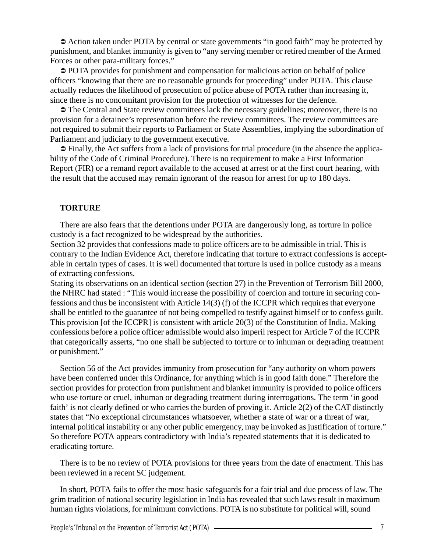$\triangle$  Action taken under POTA by central or state governments "in good faith" may be protected by punishment, and blanket immunity is given to "any serving member or retired member of the Armed Forces or other para-military forces."

 $\supset$  POTA provides for punishment and compensation for malicious action on behalf of police officers "knowing that there are no reasonable grounds for proceeding" under POTA. This clause actually reduces the likelihood of prosecution of police abuse of POTA rather than increasing it, since there is no concomitant provision for the protection of witnesses for the defence.

 $\supset$  The Central and State review committees lack the necessary guidelines; moreover, there is no provision for a detainee's representation before the review committees. The review committees are not required to submit their reports to Parliament or State Assemblies, implying the subordination of Parliament and judiciary to the government executive.

 $\supset$  Finally, the Act suffers from a lack of provisions for trial procedure (in the absence the applicability of the Code of Criminal Procedure). There is no requirement to make a First Information Report (FIR) or a remand report available to the accused at arrest or at the first court hearing, with the result that the accused may remain ignorant of the reason for arrest for up to 180 days.

#### **TORTURE**

There are also fears that the detentions under POTA are dangerously long, as torture in police custody is a fact recognized to be widespread by the authorities.

Section 32 provides that confessions made to police officers are to be admissible in trial. This is contrary to the Indian Evidence Act, therefore indicating that torture to extract confessions is acceptable in certain types of cases. It is well documented that torture is used in police custody as a means of extracting confessions.

Stating its observations on an identical section (section 27) in the Prevention of Terrorism Bill 2000, the NHRC had stated : "This would increase the possibility of coercion and torture in securing confessions and thus be inconsistent with Article 14(3) (f) of the ICCPR which requires that everyone shall be entitled to the guarantee of not being compelled to testify against himself or to confess guilt. This provision [of the ICCPR] is consistent with article 20(3) of the Constitution of India. Making confessions before a police officer admissible would also imperil respect for Article 7 of the ICCPR that categorically asserts, "no one shall be subjected to torture or to inhuman or degrading treatment or punishment."

Section 56 of the Act provides immunity from prosecution for "any authority on whom powers have been conferred under this Ordinance, for anything which is in good faith done." Therefore the section provides for protection from punishment and blanket immunity is provided to police officers who use torture or cruel, inhuman or degrading treatment during interrogations. The term 'in good faith' is not clearly defined or who carries the burden of proving it. Article 2(2) of the CAT distinctly states that "No exceptional circumstances whatsoever, whether a state of war or a threat of war, internal political instability or any other public emergency, may be invoked as justification of torture." So therefore POTA appears contradictory with India's repeated statements that it is dedicated to eradicating torture.

There is to be no review of POTA provisions for three years from the date of enactment. This has been reviewed in a recent SC judgement.

In short, POTA fails to offer the most basic safeguards for a fair trial and due process of law. The grim tradition of national security legislation in India has revealed that such laws result in maximum human rights violations, for minimum convictions. POTA is no substitute for political will, sound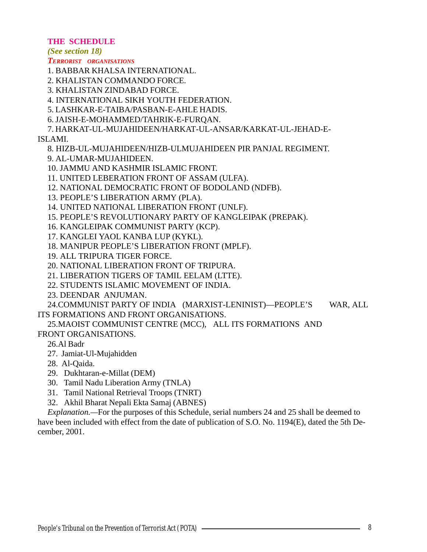## **THE SCHEDULE**

*(See section 18)*

#### *TERRORIST ORGANISATIONS*

1. BABBAR KHALSA INTERNATIONAL.

2. KHALISTAN COMMANDO FORCE.

3. KHALISTAN ZINDABAD FORCE.

4. INTERNATIONAL SIKH YOUTH FEDERATION.

5. LASHKAR-E-TAIBA/PASBAN-E-AHLE HADIS.

6. JAISH-E-MOHAMMED/TAHRIK-E-FURQAN.

7. HARKAT-UL-MUJAHIDEEN/HARKAT-UL-ANSAR/KARKAT-UL-JEHAD-E-

# ISLAMI.

8. HIZB-UL-MUJAHIDEEN/HIZB-ULMUJAHIDEEN PIR PANJAL REGIMENT.

9. AL-UMAR-MUJAHIDEEN.

10. JAMMU AND KASHMIR ISLAMIC FRONT.

11. UNITED LEBERATION FRONT OF ASSAM (ULFA).

12. NATIONAL DEMOCRATIC FRONT OF BODOLAND (NDFB).

13. PEOPLE'S LIBERATION ARMY (PLA).

14. UNITED NATIONAL LIBERATION FRONT (UNLF).

15. PEOPLE'S REVOLUTIONARY PARTY OF KANGLEIPAK (PREPAK).

- 16. KANGLEIPAK COMMUNIST PARTY (KCP).
- 17. KANGLEI YAOL KANBA LUP (KYKL).

18. MANIPUR PEOPLE'S LIBERATION FRONT (MPLF).

19. ALL TRIPURA TIGER FORCE.

20. NATIONAL LIBERATION FRONT OF TRIPURA.

21. LIBERATION TIGERS OF TAMIL EELAM (LTTE).

22. STUDENTS ISLAMIC MOVEMENT OF INDIA.

23. DEENDAR ANJUMAN.

24.COMMUNIST PARTY OF INDIA (MARXIST-LENINIST)—PEOPLE'S WAR, ALL ITS FORMATIONS AND FRONT ORGANISATIONS.

25.MAOIST COMMUNIST CENTRE (MCC), ALL ITS FORMATIONS AND FRONT ORGANISATIONS.

26.Al Badr

27. Jamiat-Ul-Mujahidden

- 28. Al-Qaida.
- 29. Dukhtaran-e-Millat (DEM)

30. Tamil Nadu Liberation Army (TNLA)

- 31. Tamil National Retrieval Troops (TNRT)
- 32. Akhil Bharat Nepali Ekta Samaj (ABNES)

*Explanation.*—For the purposes of this Schedule, serial numbers 24 and 25 shall be deemed to have been included with effect from the date of publication of S.O. No. 1194(E), dated the 5th December, 2001.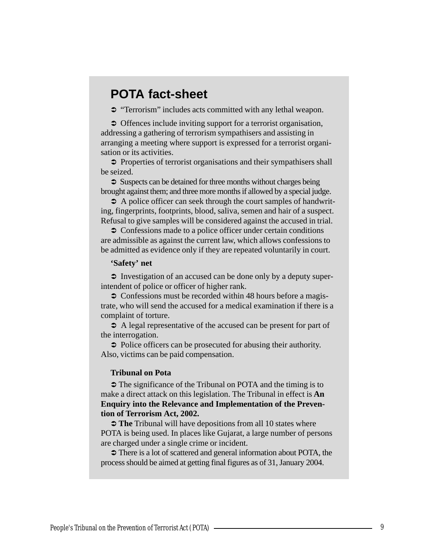# **POTA fact-sheet**

 $\supset$  "Terrorism" includes acts committed with any lethal weapon.

 $\supset$  Offences include inviting support for a terrorist organisation, addressing a gathering of terrorism sympathisers and assisting in arranging a meeting where support is expressed for a terrorist organisation or its activities.

 $\supset$  Properties of terrorist organisations and their sympathisers shall be seized.

 $\supset$  Suspects can be detained for three months without charges being brought against them; and three more months if allowed by a special judge.

 $\supset$  A police officer can seek through the court samples of handwriting, fingerprints, footprints, blood, saliva, semen and hair of a suspect. Refusal to give samples will be considered against the accused in trial.

 $\supset$  Confessions made to a police officer under certain conditions are admissible as against the current law, which allows confessions to be admitted as evidence only if they are repeated voluntarily in court.

#### **'Safety' net**

 $\supset$  Investigation of an accused can be done only by a deputy superintendent of police or officer of higher rank.

 $\supset$  Confessions must be recorded within 48 hours before a magistrate, who will send the accused for a medical examination if there is a complaint of torture.

 $\supset$  A legal representative of the accused can be present for part of the interrogation.

 $\supset$  Police officers can be prosecuted for abusing their authority. Also, victims can be paid compensation.

#### **Tribunal on Pota**

 $\supset$  The significance of the Tribunal on POTA and the timing is to make a direct attack on this legislation. The Tribunal in effect is **An Enquiry into the Relevance and Implementation of the Prevention of Terrorism Act, 2002.**

 $\supset$  The Tribunal will have depositions from all 10 states where POTA is being used. In places like Gujarat, a large number of persons are charged under a single crime or incident.

 $\supset$  There is a lot of scattered and general information about POTA, the process should be aimed at getting final figures as of 31, January 2004.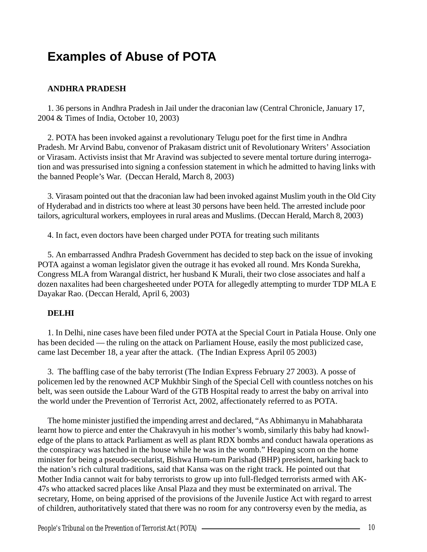# **Examples of Abuse of POTA**

# **ANDHRA PRADESH**

1. 36 persons in Andhra Pradesh in Jail under the draconian law (Central Chronicle, January 17, 2004 & Times of India, October 10, 2003)

2. POTA has been invoked against a revolutionary Telugu poet for the first time in Andhra Pradesh. Mr Arvind Babu, convenor of Prakasam district unit of Revolutionary Writers' Association or Virasam. Activists insist that Mr Aravind was subjected to severe mental torture during interrogation and was pressurised into signing a confession statement in which he admitted to having links with the banned People's War. (Deccan Herald, March 8, 2003)

3. Virasam pointed out that the draconian law had been invoked against Muslim youth in the Old City of Hyderabad and in districts too where at least 30 persons have been held. The arrested include poor tailors, agricultural workers, employees in rural areas and Muslims. (Deccan Herald, March 8, 2003)

4. In fact, even doctors have been charged under POTA for treating such militants

5. An embarrassed Andhra Pradesh Government has decided to step back on the issue of invoking POTA against a woman legislator given the outrage it has evoked all round. Mrs Konda Surekha, Congress MLA from Warangal district, her husband K Murali, their two close associates and half a dozen naxalites had been chargesheeted under POTA for allegedly attempting to murder TDP MLA E Dayakar Rao. (Deccan Herald, April 6, 2003)

## **DELHI**

1. In Delhi, nine cases have been filed under POTA at the Special Court in Patiala House. Only one has been decided — the ruling on the attack on Parliament House, easily the most publicized case, came last December 18, a year after the attack. (The Indian Express April 05 2003)

3. The baffling case of the baby terrorist (The Indian Express February 27 2003). A posse of policemen led by the renowned ACP Mukhbir Singh of the Special Cell with countless notches on his belt, was seen outside the Labour Ward of the GTB Hospital ready to arrest the baby on arrival into the world under the Prevention of Terrorist Act, 2002, affectionately referred to as POTA.

The home minister justified the impending arrest and declared, "As Abhimanyu in Mahabharata learnt how to pierce and enter the Chakravyuh in his mother's womb, similarly this baby had knowledge of the plans to attack Parliament as well as plant RDX bombs and conduct hawala operations as the conspiracy was hatched in the house while he was in the womb." Heaping scorn on the home minister for being a pseudo-secularist, Bishwa Hum-tum Parishad (BHP) president, harking back to the nation's rich cultural traditions, said that Kansa was on the right track. He pointed out that Mother India cannot wait for baby terrorists to grow up into full-fledged terrorists armed with AK-47s who attacked sacred places like Ansal Plaza and they must be exterminated on arrival. The secretary, Home, on being apprised of the provisions of the Juvenile Justice Act with regard to arrest of children, authoritatively stated that there was no room for any controversy even by the media, as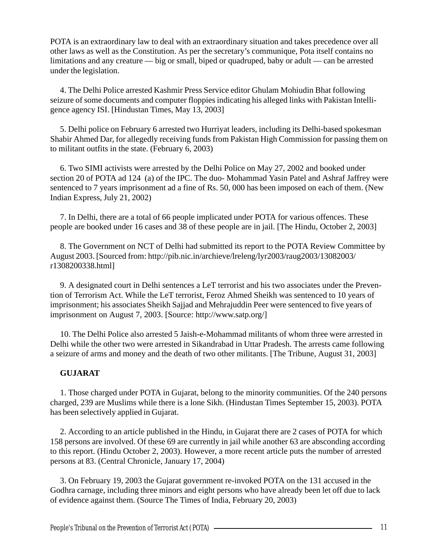POTA is an extraordinary law to deal with an extraordinary situation and takes precedence over all other laws as well as the Constitution. As per the secretary's communique, Pota itself contains no limitations and any creature — big or small, biped or quadruped, baby or adult — can be arrested under the legislation.

4. The Delhi Police arrested Kashmir Press Service editor Ghulam Mohiudin Bhat following seizure of some documents and computer floppies indicating his alleged links with Pakistan Intelligence agency ISI. [Hindustan Times, May 13, 2003]

5. Delhi police on February 6 arrested two Hurriyat leaders, including its Delhi-based spokesman Shabir Ahmed Dar, for allegedly receiving funds from Pakistan High Commission for passing them on to militant outfits in the state. (February 6, 2003)

6. Two SIMI activists were arrested by the Delhi Police on May 27, 2002 and booked under section 20 of POTA ad 124 (a) of the IPC. The duo- Mohammad Yasin Patel and Ashraf Jaffrey were sentenced to 7 years imprisonment ad a fine of Rs. 50, 000 has been imposed on each of them. (New Indian Express, July 21, 2002)

7. In Delhi, there are a total of 66 people implicated under POTA for various offences. These people are booked under 16 cases and 38 of these people are in jail. [The Hindu, October 2, 2003]

8. The Government on NCT of Delhi had submitted its report to the POTA Review Committee by August 2003. [Sourced from: http://pib.nic.in/archieve/lreleng/lyr2003/raug2003/13082003/ r1308200338.html]

9. A designated court in Delhi sentences a LeT terrorist and his two associates under the Prevention of Terrorism Act. While the LeT terrorist, Feroz Ahmed Sheikh was sentenced to 10 years of imprisonment; his associates Sheikh Sajjad and Mehrajuddin Peer were sentenced to five years of imprisonment on August 7, 2003. [Source: http://www.satp.org/]

10. The Delhi Police also arrested 5 Jaish-e-Mohammad militants of whom three were arrested in Delhi while the other two were arrested in Sikandrabad in Uttar Pradesh. The arrests came following a seizure of arms and money and the death of two other militants. [The Tribune, August 31, 2003]

# **GUJARAT**

1. Those charged under POTA in Gujarat, belong to the minority communities. Of the 240 persons charged, 239 are Muslims while there is a lone Sikh. (Hindustan Times September 15, 2003). POTA has been selectively applied in Gujarat.

2. According to an article published in the Hindu, in Gujarat there are 2 cases of POTA for which 158 persons are involved. Of these 69 are currently in jail while another 63 are absconding according to this report. (Hindu October 2, 2003). However, a more recent article puts the number of arrested persons at 83. (Central Chronicle, January 17, 2004)

3. On February 19, 2003 the Gujarat government re-invoked POTA on the 131 accused in the Godhra carnage, including three minors and eight persons who have already been let off due to lack of evidence against them. (Source The Times of India, February 20, 2003)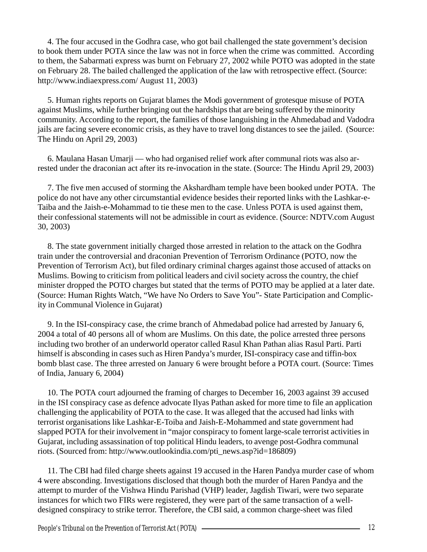4. The four accused in the Godhra case, who got bail challenged the state government's decision to book them under POTA since the law was not in force when the crime was committed. According to them, the Sabarmati express was burnt on February 27, 2002 while POTO was adopted in the state on February 28. The bailed challenged the application of the law with retrospective effect. (Source: http://www.indiaexpress.com/ August 11, 2003)

5. Human rights reports on Gujarat blames the Modi government of grotesque misuse of POTA against Muslims, while further bringing out the hardships that are being suffered by the minority community. According to the report, the families of those languishing in the Ahmedabad and Vadodra jails are facing severe economic crisis, as they have to travel long distances to see the jailed. (Source: The Hindu on April 29, 2003)

6. Maulana Hasan Umarji — who had organised relief work after communal riots was also arrested under the draconian act after its re-invocation in the state. (Source: The Hindu April 29, 2003)

7. The five men accused of storming the Akshardham temple have been booked under POTA. The police do not have any other circumstantial evidence besides their reported links with the Lashkar-e-Taiba and the Jaish-e-Mohammad to tie these men to the case. Unless POTA is used against them, their confessional statements will not be admissible in court as evidence. (Source: NDTV.com August 30, 2003)

8. The state government initially charged those arrested in relation to the attack on the Godhra train under the controversial and draconian Prevention of Terrorism Ordinance (POTO, now the Prevention of Terrorism Act), but filed ordinary criminal charges against those accused of attacks on Muslims. Bowing to criticism from political leaders and civil society across the country, the chief minister dropped the POTO charges but stated that the terms of POTO may be applied at a later date. (Source: Human Rights Watch, "We have No Orders to Save You"- State Participation and Complicity in Communal Violence in Gujarat)

9. In the ISI-conspiracy case, the crime branch of Ahmedabad police had arrested by January 6, 2004 a total of 40 persons all of whom are Muslims. On this date, the police arrested three persons including two brother of an underworld operator called Rasul Khan Pathan alias Rasul Parti. Parti himself is absconding in cases such as Hiren Pandya's murder, ISI-conspiracy case and tiffin-box bomb blast case. The three arrested on January 6 were brought before a POTA court. (Source: Times of India, January 6, 2004)

10. The POTA court adjourned the framing of charges to December 16, 2003 against 39 accused in the ISI conspiracy case as defence advocate Ilyas Pathan asked for more time to file an application challenging the applicability of POTA to the case. It was alleged that the accused had links with terrorist organisations like Lashkar-E-Toiba and Jaish-E-Mohammed and state government had slapped POTA for their involvement in "major conspiracy to foment large-scale terrorist activities in Gujarat, including assassination of top political Hindu leaders, to avenge post-Godhra communal riots. (Sourced from: http://www.outlookindia.com/pti\_news.asp?id=186809)

11. The CBI had filed charge sheets against 19 accused in the Haren Pandya murder case of whom 4 were absconding. Investigations disclosed that though both the murder of Haren Pandya and the attempt to murder of the Vishwa Hindu Parishad (VHP) leader, Jagdish Tiwari, were two separate instances for which two FIRs were registered, they were part of the same transaction of a welldesigned conspiracy to strike terror. Therefore, the CBI said, a common charge-sheet was filed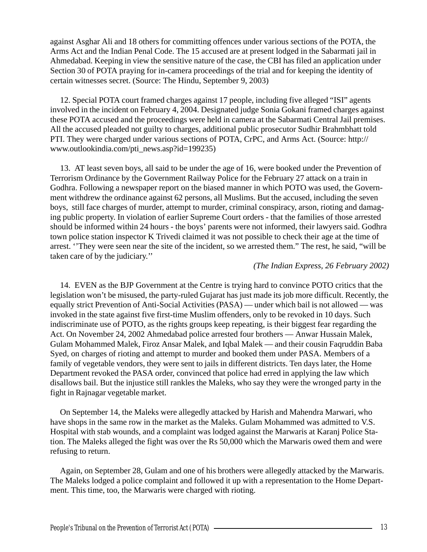against Asghar Ali and 18 others for committing offences under various sections of the POTA, the Arms Act and the Indian Penal Code. The 15 accused are at present lodged in the Sabarmati jail in Ahmedabad. Keeping in view the sensitive nature of the case, the CBI has filed an application under Section 30 of POTA praying for in-camera proceedings of the trial and for keeping the identity of certain witnesses secret. (Source: The Hindu, September 9, 2003)

12. Special POTA court framed charges against 17 people, including five alleged "ISI" agents involved in the incident on February 4, 2004. Designated judge Sonia Gokani framed charges against these POTA accused and the proceedings were held in camera at the Sabarmati Central Jail premises. All the accused pleaded not guilty to charges, additional public prosecutor Sudhir Brahmbhatt told PTI. They were charged under various sections of POTA, CrPC, and Arms Act. (Source: http:// www.outlookindia.com/pti\_news.asp?id=199235)

13. AT least seven boys, all said to be under the age of 16, were booked under the Prevention of Terrorism Ordinance by the Government Railway Police for the February 27 attack on a train in Godhra. Following a newspaper report on the biased manner in which POTO was used, the Government withdrew the ordinance against 62 persons, all Muslims. But the accused, including the seven boys, still face charges of murder, attempt to murder, criminal conspiracy, arson, rioting and damaging public property. In violation of earlier Supreme Court orders - that the families of those arrested should be informed within 24 hours - the boys' parents were not informed, their lawyers said. Godhra town police station inspector K Trivedi claimed it was not possible to check their age at the time of arrest. ''They were seen near the site of the incident, so we arrested them." The rest, he said, "will be taken care of by the judiciary.''

#### *(The Indian Express, 26 February 2002)*

14. EVEN as the BJP Government at the Centre is trying hard to convince POTO critics that the legislation won't be misused, the party-ruled Gujarat has just made its job more difficult. Recently, the equally strict Prevention of Anti-Social Activities (PASA) — under which bail is not allowed — was invoked in the state against five first-time Muslim offenders, only to be revoked in 10 days. Such indiscriminate use of POTO, as the rights groups keep repeating, is their biggest fear regarding the Act. On November 24, 2002 Ahmedabad police arrested four brothers — Anwar Hussain Malek, Gulam Mohammed Malek, Firoz Ansar Malek, and Iqbal Malek — and their cousin Faqruddin Baba Syed, on charges of rioting and attempt to murder and booked them under PASA. Members of a family of vegetable vendors, they were sent to jails in different districts. Ten days later, the Home Department revoked the PASA order, convinced that police had erred in applying the law which disallows bail. But the injustice still rankles the Maleks, who say they were the wronged party in the fight in Rajnagar vegetable market.

On September 14, the Maleks were allegedly attacked by Harish and Mahendra Marwari, who have shops in the same row in the market as the Maleks. Gulam Mohammed was admitted to V.S. Hospital with stab wounds, and a complaint was lodged against the Marwaris at Karanj Police Station. The Maleks alleged the fight was over the Rs 50,000 which the Marwaris owed them and were refusing to return.

Again, on September 28, Gulam and one of his brothers were allegedly attacked by the Marwaris. The Maleks lodged a police complaint and followed it up with a representation to the Home Department. This time, too, the Marwaris were charged with rioting.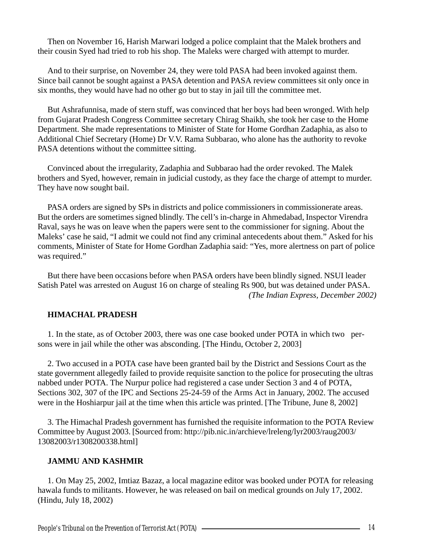Then on November 16, Harish Marwari lodged a police complaint that the Malek brothers and their cousin Syed had tried to rob his shop. The Maleks were charged with attempt to murder.

And to their surprise, on November 24, they were told PASA had been invoked against them. Since bail cannot be sought against a PASA detention and PASA review committees sit only once in six months, they would have had no other go but to stay in jail till the committee met.

But Ashrafunnisa, made of stern stuff, was convinced that her boys had been wronged. With help from Gujarat Pradesh Congress Committee secretary Chirag Shaikh, she took her case to the Home Department. She made representations to Minister of State for Home Gordhan Zadaphia, as also to Additional Chief Secretary (Home) Dr V.V. Rama Subbarao, who alone has the authority to revoke PASA detentions without the committee sitting.

Convinced about the irregularity, Zadaphia and Subbarao had the order revoked. The Malek brothers and Syed, however, remain in judicial custody, as they face the charge of attempt to murder. They have now sought bail.

PASA orders are signed by SPs in districts and police commissioners in commissionerate areas. But the orders are sometimes signed blindly. The cell's in-charge in Ahmedabad, Inspector Virendra Raval, says he was on leave when the papers were sent to the commissioner for signing. About the Maleks' case he said, "I admit we could not find any criminal antecedents about them." Asked for his comments, Minister of State for Home Gordhan Zadaphia said: "Yes, more alertness on part of police was required."

But there have been occasions before when PASA orders have been blindly signed. NSUI leader Satish Patel was arrested on August 16 on charge of stealing Rs 900, but was detained under PASA. *(The Indian Express, December 2002)*

# **HIMACHAL PRADESH**

1. In the state, as of October 2003, there was one case booked under POTA in which two persons were in jail while the other was absconding. [The Hindu, October 2, 2003]

2. Two accused in a POTA case have been granted bail by the District and Sessions Court as the state government allegedly failed to provide requisite sanction to the police for prosecuting the ultras nabbed under POTA. The Nurpur police had registered a case under Section 3 and 4 of POTA, Sections 302, 307 of the IPC and Sections 25-24-59 of the Arms Act in January, 2002. The accused were in the Hoshiarpur jail at the time when this article was printed. [The Tribune, June 8, 2002]

3. The Himachal Pradesh government has furnished the requisite information to the POTA Review Committee by August 2003. [Sourced from: http://pib.nic.in/archieve/lreleng/lyr2003/raug2003/ 13082003/r1308200338.html]

## **JAMMU AND KASHMIR**

1. On May 25, 2002, Imtiaz Bazaz, a local magazine editor was booked under POTA for releasing hawala funds to militants. However, he was released on bail on medical grounds on July 17, 2002. (Hindu, July 18, 2002)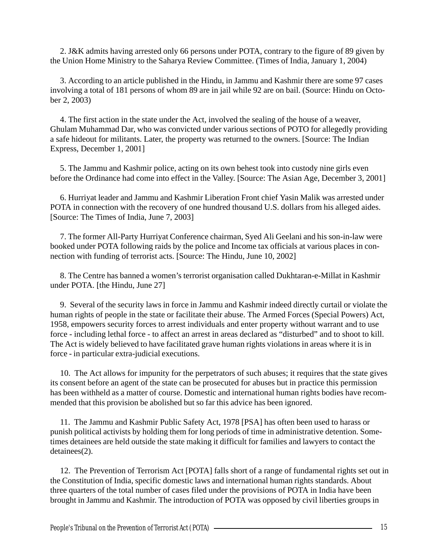2. J&K admits having arrested only 66 persons under POTA, contrary to the figure of 89 given by the Union Home Ministry to the Saharya Review Committee. (Times of India, January 1, 2004)

3. According to an article published in the Hindu, in Jammu and Kashmir there are some 97 cases involving a total of 181 persons of whom 89 are in jail while 92 are on bail. (Source: Hindu on October 2, 2003)

4. The first action in the state under the Act, involved the sealing of the house of a weaver, Ghulam Muhammad Dar, who was convicted under various sections of POTO for allegedly providing a safe hideout for militants. Later, the property was returned to the owners. [Source: The Indian Express, December 1, 2001]

5. The Jammu and Kashmir police, acting on its own behest took into custody nine girls even before the Ordinance had come into effect in the Valley. [Source: The Asian Age, December 3, 2001]

6. Hurriyat leader and Jammu and Kashmir Liberation Front chief Yasin Malik was arrested under POTA in connection with the recovery of one hundred thousand U.S. dollars from his alleged aides. [Source: The Times of India, June 7, 2003]

7. The former All-Party Hurriyat Conference chairman, Syed Ali Geelani and his son-in-law were booked under POTA following raids by the police and Income tax officials at various places in connection with funding of terrorist acts. [Source: The Hindu, June 10, 2002]

8. The Centre has banned a women's terrorist organisation called Dukhtaran-e-Millat in Kashmir under POTA. [the Hindu, June 27]

9. Several of the security laws in force in Jammu and Kashmir indeed directly curtail or violate the human rights of people in the state or facilitate their abuse. The Armed Forces (Special Powers) Act, 1958, empowers security forces to arrest individuals and enter property without warrant and to use force - including lethal force - to affect an arrest in areas declared as "disturbed" and to shoot to kill. The Act is widely believed to have facilitated grave human rights violations in areas where it is in force - in particular extra-judicial executions.

10. The Act allows for impunity for the perpetrators of such abuses; it requires that the state gives its consent before an agent of the state can be prosecuted for abuses but in practice this permission has been withheld as a matter of course. Domestic and international human rights bodies have recommended that this provision be abolished but so far this advice has been ignored.

11. The Jammu and Kashmir Public Safety Act, 1978 [PSA] has often been used to harass or punish political activists by holding them for long periods of time in administrative detention. Sometimes detainees are held outside the state making it difficult for families and lawyers to contact the detainees(2).

12. The Prevention of Terrorism Act [POTA] falls short of a range of fundamental rights set out in the Constitution of India, specific domestic laws and international human rights standards. About three quarters of the total number of cases filed under the provisions of POTA in India have been brought in Jammu and Kashmir. The introduction of POTA was opposed by civil liberties groups in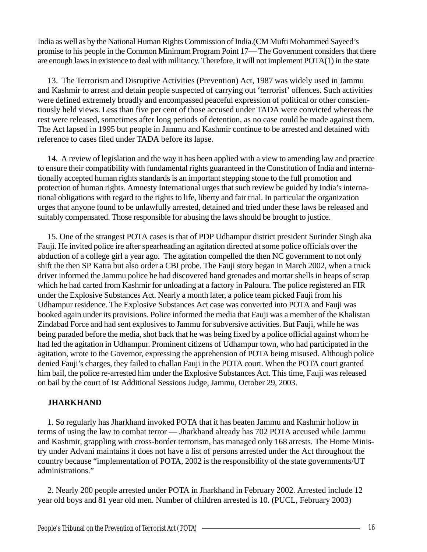India as well as by the National Human Rights Commission of India.(CM Mufti Mohammed Sayeed's promise to his people in the Common Minimum Program Point 17— The Government considers that there are enough laws in existence to deal with militancy. Therefore, it will not implement POTA(1) in the state

13. The Terrorism and Disruptive Activities (Prevention) Act, 1987 was widely used in Jammu and Kashmir to arrest and detain people suspected of carrying out 'terrorist' offences. Such activities were defined extremely broadly and encompassed peaceful expression of political or other conscientiously held views. Less than five per cent of those accused under TADA were convicted whereas the rest were released, sometimes after long periods of detention, as no case could be made against them. The Act lapsed in 1995 but people in Jammu and Kashmir continue to be arrested and detained with reference to cases filed under TADA before its lapse.

14. A review of legislation and the way it has been applied with a view to amending law and practice to ensure their compatibility with fundamental rights guaranteed in the Constitution of India and internationally accepted human rights standards is an important stepping stone to the full promotion and protection of human rights. Amnesty International urges that such review be guided by India's international obligations with regard to the rights to life, liberty and fair trial. In particular the organization urges that anyone found to be unlawfully arrested, detained and tried under these laws be released and suitably compensated. Those responsible for abusing the laws should be brought to justice.

15. One of the strangest POTA cases is that of PDP Udhampur district president Surinder Singh aka Fauji. He invited police ire after spearheading an agitation directed at some police officials over the abduction of a college girl a year ago. The agitation compelled the then NC government to not only shift the then SP Katra but also order a CBI probe. The Fauji story began in March 2002, when a truck driver informed the Jammu police he had discovered hand grenades and mortar shells in heaps of scrap which he had carted from Kashmir for unloading at a factory in Paloura. The police registered an FIR under the Explosive Substances Act. Nearly a month later, a police team picked Fauji from his Udhampur residence. The Explosive Substances Act case was converted into POTA and Fauji was booked again under its provisions. Police informed the media that Fauji was a member of the Khalistan Zindabad Force and had sent explosives to Jammu for subversive activities. But Fauji, while he was being paraded before the media, shot back that he was being fixed by a police official against whom he had led the agitation in Udhampur. Prominent citizens of Udhampur town, who had participated in the agitation, wrote to the Governor, expressing the apprehension of POTA being misused. Although police denied Fauji's charges, they failed to challan Fauji in the POTA court. When the POTA court granted him bail, the police re-arrested him under the Explosive Substances Act. This time, Fauji was released on bail by the court of Ist Additional Sessions Judge, Jammu, October 29, 2003.

# **JHARKHAND**

1. So regularly has Jharkhand invoked POTA that it has beaten Jammu and Kashmir hollow in terms of using the law to combat terror — Jharkhand already has 702 POTA accused while Jammu and Kashmir, grappling with cross-border terrorism, has managed only 168 arrests. The Home Ministry under Advani maintains it does not have a list of persons arrested under the Act throughout the country because "implementation of POTA, 2002 is the responsibility of the state governments/UT administrations."

2. Nearly 200 people arrested under POTA in Jharkhand in February 2002. Arrested include 12 year old boys and 81 year old men. Number of children arrested is 10. (PUCL, February 2003)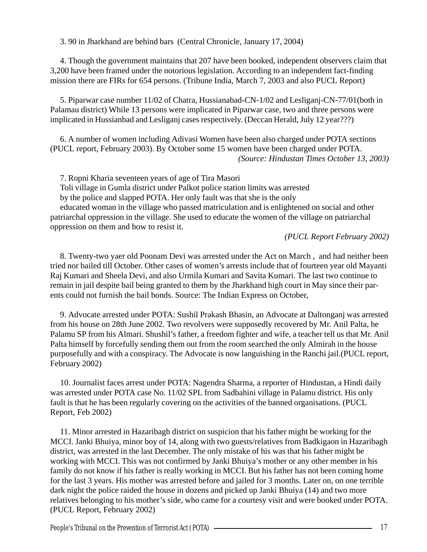3. 90 in Jharkhand are behind bars (Central Chronicle, January 17, 2004)

4. Though the government maintains that 207 have been booked, independent observers claim that 3,200 have been framed under the notorious legislation. According to an independent fact-finding mission there are FIRs for 654 persons. (Tribune India, March 7, 2003 and also PUCL Report)

5. Piparwar case number 11/02 of Chatra, Hussianabad-CN-1/02 and Lesliganj-CN-77/01(both in Palamau district) While 13 persons were implicated in Piparwar case, two and three persons were implicated in Hussianbad and Lesliganj cases respectively. (Deccan Herald, July 12 year???)

6. A number of women including Adivasi Women have been also charged under POTA sections (PUCL report, February 2003). By October some 15 women have been charged under POTA. *(Source: Hindustan Times October 13, 2003)*

7. Ropni Kharia seventeen years of age of Tira Masori

Toli village in Gumla district under Palkot police station limits was arrested

by the police and slapped POTA. Her only fault was that she is the only

educated woman in the village who passed matriculation and is enlightened on social and other patriarchal oppression in the village. She used to educate the women of the village on patriarchal oppression on them and how to resist it.

 *(PUCL Report February 2002)*

8. Twenty-two yaer old Poonam Devi was arrested under the Act on March , and had neither been tried nor bailed till October. Other cases of women's arrests include that of fourteen year old Mayanti Raj Kumari and Sheela Devi, and also Urmila Kumari and Savita Kumari. The last two continue to remain in jail despite bail being granted to them by the Jharkhand high court in May since their parents could not furnish the bail bonds. Source: The Indian Express on October,

9. Advocate arrested under POTA: Sushil Prakash Bhasin, an Advocate at Daltonganj was arrested from his house on 28th June 2002. Two revolvers were supposedly recovered by Mr. Anil Palta, he Palamu SP from his Almari. Shushil's father, a freedom fighter and wife, a teacher tell us that Mr. Anil Palta himself by forcefully sending them out from the room searched the only Almirah in the house purposefully and with a conspiracy. The Advocate is now languishing in the Ranchi jail.(PUCL report, February 2002)

10. Journalist faces arrest under POTA: Nagendra Sharma, a reporter of Hindustan, a Hindi daily was arrested under POTA case No. 11/02 SPL from Sadbahini village in Palamu district. His only fault is that he has been regularly covering on the activities of the banned organisations. (PUCL Report, Feb 2002)

11. Minor arrested in Hazaribagh district on suspicion that his father might be working for the MCCI. Janki Bhuiya, minor boy of 14, along with two guests/relatives from Badkigaon in Hazaribagh district, was arrested in the last December. The only mistake of his was that his father might be working with MCCI. This was not confirmed by Janki Bhuiya's mother or any other member in his family do not know if his father is really working in MCCI. But his father has not been coming home for the last 3 years. His mother was arrested before and jailed for 3 months. Later on, on one terrible dark night the police raided the house in dozens and picked up Janki Bhuiya (14) and two more relatives belonging to his mother's side, who came for a courtesy visit and were booked under POTA. (PUCL Report, February 2002)

People's Tribunal on the Prevention of Terrorist Act (POTA) —————————————————————————————————17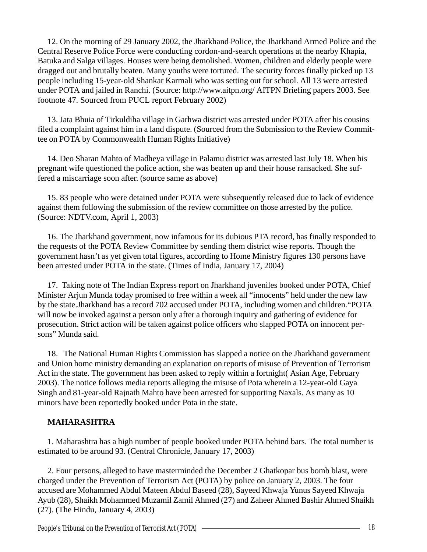12. On the morning of 29 January 2002, the Jharkhand Police, the Jharkhand Armed Police and the Central Reserve Police Force were conducting cordon-and-search operations at the nearby Khapia, Batuka and Salga villages. Houses were being demolished. Women, children and elderly people were dragged out and brutally beaten. Many youths were tortured. The security forces finally picked up 13 people including 15-year-old Shankar Karmali who was setting out for school. All 13 were arrested under POTA and jailed in Ranchi. (Source: http://www.aitpn.org/ AITPN Briefing papers 2003. See footnote 47. Sourced from PUCL report February 2002)

13. Jata Bhuia of Tirkuldiha village in Garhwa district was arrested under POTA after his cousins filed a complaint against him in a land dispute. (Sourced from the Submission to the Review Committee on POTA by Commonwealth Human Rights Initiative)

14. Deo Sharan Mahto of Madheya village in Palamu district was arrested last July 18. When his pregnant wife questioned the police action, she was beaten up and their house ransacked. She suffered a miscarriage soon after. (source same as above)

15. 83 people who were detained under POTA were subsequently released due to lack of evidence against them following the submission of the review committee on those arrested by the police. (Source: NDTV.com, April 1, 2003)

16. The Jharkhand government, now infamous for its dubious PTA record, has finally responded to the requests of the POTA Review Committee by sending them district wise reports. Though the government hasn't as yet given total figures, according to Home Ministry figures 130 persons have been arrested under POTA in the state. (Times of India, January 17, 2004)

17. Taking note of The Indian Express report on Jharkhand juveniles booked under POTA, Chief Minister Arjun Munda today promised to free within a week all "innocents" held under the new law by the state.Jharkhand has a record 702 accused under POTA, including women and children."POTA will now be invoked against a person only after a thorough inquiry and gathering of evidence for prosecution. Strict action will be taken against police officers who slapped POTA on innocent persons" Munda said.

18. The National Human Rights Commission has slapped a notice on the Jharkhand government and Union home ministry demanding an explanation on reports of misuse of Prevention of Terrorism Act in the state. The government has been asked to reply within a fortnight( Asian Age, February 2003). The notice follows media reports alleging the misuse of Pota wherein a 12-year-old Gaya Singh and 81-year-old Rajnath Mahto have been arrested for supporting Naxals. As many as 10 minors have been reportedly booked under Pota in the state.

# **MAHARASHTRA**

1. Maharashtra has a high number of people booked under POTA behind bars. The total number is estimated to be around 93. (Central Chronicle, January 17, 2003)

2. Four persons, alleged to have masterminded the December 2 Ghatkopar bus bomb blast, were charged under the Prevention of Terrorism Act (POTA) by police on January 2, 2003. The four accused are Mohammed Abdul Mateen Abdul Baseed (28), Sayeed Khwaja Yunus Sayeed Khwaja Ayub (28), Shaikh Mohammed Muzamil Zamil Ahmed (27) and Zaheer Ahmed Bashir Ahmed Shaikh (27). (The Hindu, January 4, 2003)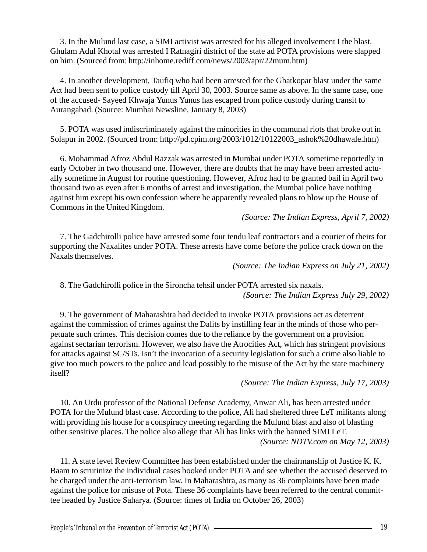3. In the Mulund last case, a SIMI activist was arrested for his alleged involvement I the blast. Ghulam Adul Khotal was arrested I Ratnagiri district of the state ad POTA provisions were slapped on him. (Sourced from: http://inhome.rediff.com/news/2003/apr/22mum.htm)

4. In another development, Taufiq who had been arrested for the Ghatkopar blast under the same Act had been sent to police custody till April 30, 2003. Source same as above. In the same case, one of the accused- Sayeed Khwaja Yunus Yunus has escaped from police custody during transit to Aurangabad. (Source: Mumbai Newsline, January 8, 2003)

5. POTA was used indiscriminately against the minorities in the communal riots that broke out in Solapur in 2002. (Sourced from: http://pd.cpim.org/2003/1012/10122003\_ashok%20dhawale.htm)

6. Mohammad Afroz Abdul Razzak was arrested in Mumbai under POTA sometime reportedly in early October in two thousand one. However, there are doubts that he may have been arrested actually sometime in August for routine questioning. However, Afroz had to be granted bail in April two thousand two as even after 6 months of arrest and investigation, the Mumbai police have nothing against him except his own confession where he apparently revealed plans to blow up the House of Commons in the United Kingdom.

*(Source: The Indian Express, April 7, 2002)*

7. The Gadchirolli police have arrested some four tendu leaf contractors and a courier of theirs for supporting the Naxalites under POTA. These arrests have come before the police crack down on the Naxals themselves.

*(Source: The Indian Express on July 21, 2002)*

8. The Gadchirolli police in the Sironcha tehsil under POTA arrested six naxals. *(Source: The Indian Express July 29, 2002)*

9. The government of Maharashtra had decided to invoke POTA provisions act as deterrent against the commission of crimes against the Dalits by instilling fear in the minds of those who perpetuate such crimes. This decision comes due to the reliance by the government on a provision against sectarian terrorism. However, we also have the Atrocities Act, which has stringent provisions for attacks against SC/STs. Isn't the invocation of a security legislation for such a crime also liable to give too much powers to the police and lead possibly to the misuse of the Act by the state machinery itself?

*(Source: The Indian Express, July 17, 2003)*

10. An Urdu professor of the National Defense Academy, Anwar Ali, has been arrested under POTA for the Mulund blast case. According to the police, Ali had sheltered three LeT militants along with providing his house for a conspiracy meeting regarding the Mulund blast and also of blasting other sensitive places. The police also allege that Ali has links with the banned SIMI LeT. *(Source: NDTV.com on May 12, 2003)*

11. A state level Review Committee has been established under the chairmanship of Justice K. K. Baam to scrutinize the individual cases booked under POTA and see whether the accused deserved to be charged under the anti-terrorism law. In Maharashtra, as many as 36 complaints have been made against the police for misuse of Pota. These 36 complaints have been referred to the central committee headed by Justice Saharya. (Source: times of India on October 26, 2003)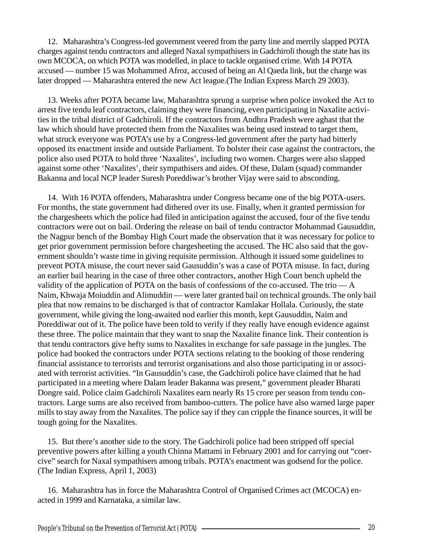12. Maharashtra's Congress-led government veered from the party line and merrily slapped POTA charges against tendu contractors and alleged Naxal sympathisers in Gadchiroli though the state has its own MCOCA, on which POTA was modelled, in place to tackle organised crime. With 14 POTA accused — number 15 was Mohammed Afroz, accused of being an Al Qaeda link, but the charge was later dropped — Maharashtra entered the new Act league.(The Indian Express March 29 2003).

13. Weeks after POTA became law, Maharashtra sprung a surprise when police invoked the Act to arrest five tendu leaf contractors, claiming they were financing, even participating in Naxalite activities in the tribal district of Gadchiroli. If the contractors from Andhra Pradesh were aghast that the law which should have protected them from the Naxalites was being used instead to target them, what struck everyone was POTA's use by a Congress-led government after the party had bitterly opposed its enactment inside and outside Parliament. To bolster their case against the contractors, the police also used POTA to hold three 'Naxalites', including two women. Charges were also slapped against some other 'Naxalites', their sympathisers and aides. Of these, Dalam (squad) commander Bakanna and local NCP leader Suresh Poreddiwar's brother Vijay were said to absconding.

14. With 16 POTA offenders, Maharashtra under Congress became one of the big POTA-users. For months, the state government had dithered over its use. Finally, when it granted permission for the chargesheets which the police had filed in anticipation against the accused, four of the five tendu contractors were out on bail. Ordering the release on bail of tendu contractor Mohammad Gausuddin, the Nagpur bench of the Bombay High Court made the observation that it was necessary for police to get prior government permission before chargesheeting the accused. The HC also said that the government shouldn't waste time in giving requisite permission. Although it issued some guidelines to prevent POTA misuse, the court never said Gausuddin's was a case of POTA misuse. In fact, during an earlier bail hearing in the case of three other contractors, another High Court bench upheld the validity of the application of POTA on the basis of confessions of the co-accused. The trio  $-A$ Naim, Khwaja Moiuddin and Alimuddin — were later granted bail on technical grounds. The only bail plea that now remains to be discharged is that of contractor Kamlakar Hollala. Curiously, the state government, while giving the long-awaited nod earlier this month, kept Gausuddin, Naim and Poreddiwar out of it. The police have been told to verify if they really have enough evidence against these three. The police maintain that they want to snap the Naxalite finance link. Their contention is that tendu contractors give hefty sums to Naxalites in exchange for safe passage in the jungles. The police had booked the contractors under POTA sections relating to the booking of those rendering financial assistance to terrorists and terrorist organisations and also those participating in or associated with terrorist activities. "In Gausuddin's case, the Gadchiroli police have claimed that he had participated in a meeting where Dalam leader Bakanna was present," government pleader Bharati Dongre said. Police claim Gadchiroli Naxalites earn nearly Rs 15 crore per season from tendu contractors. Large sums are also received from bamboo-cutters. The police have also warned large paper mills to stay away from the Naxalites. The police say if they can cripple the finance sources, it will be tough going for the Naxalites.

15. But there's another side to the story. The Gadchiroli police had been stripped off special preventive powers after killing a youth Chinna Mattami in February 2001 and for carrying out "coercive" search for Naxal sympathisers among tribals. POTA's enactment was godsend for the police. (The Indian Express, April 1, 2003)

16. Maharashtra has in force the Maharashtra Control of Organised Crimes act (MCOCA) enacted in 1999 and Karnataka, a similar law.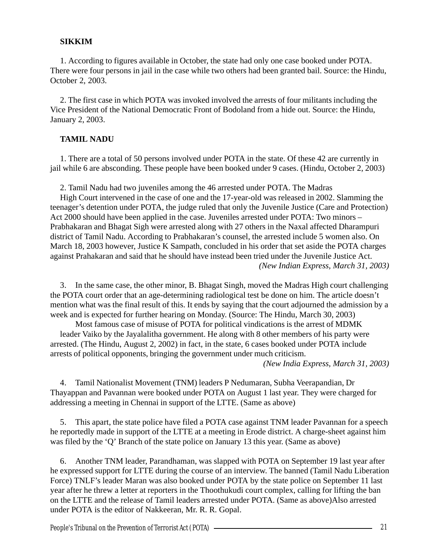#### **SIKKIM**

1. According to figures available in October, the state had only one case booked under POTA. There were four persons in jail in the case while two others had been granted bail. Source: the Hindu, October 2, 2003.

2. The first case in which POTA was invoked involved the arrests of four militants including the Vice President of the National Democratic Front of Bodoland from a hide out. Source: the Hindu, January 2, 2003.

## **TAMIL NADU**

1. There are a total of 50 persons involved under POTA in the state. Of these 42 are currently in jail while 6 are absconding. These people have been booked under 9 cases. (Hindu, October 2, 2003)

2. Tamil Nadu had two juveniles among the 46 arrested under POTA. The Madras

High Court intervened in the case of one and the 17-year-old was released in 2002. Slamming the teenager's detention under POTA, the judge ruled that only the Juvenile Justice (Care and Protection) Act 2000 should have been applied in the case. Juveniles arrested under POTA: Two minors – Prabhakaran and Bhagat Sigh were arrested along with 27 others in the Naxal affected Dharampuri district of Tamil Nadu. According to Prabhakaran's counsel, the arrested include 5 women also. On March 18, 2003 however, Justice K Sampath, concluded in his order that set aside the POTA charges against Prahakaran and said that he should have instead been tried under the Juvenile Justice Act. *(New Indian Express, March 31, 2003)*

3. In the same case, the other minor, B. Bhagat Singh, moved the Madras High court challenging the POTA court order that an age-determining radiological test be done on him. The article doesn't mention what was the final result of this. It ends by saying that the court adjourned the admission by a week and is expected for further hearing on Monday. (Source: The Hindu, March 30, 2003)

Most famous case of misuse of POTA for political vindications is the arrest of MDMK leader Vaiko by the Jayalalitha government. He along with 8 other members of his party were arrested. (The Hindu, August 2, 2002) in fact, in the state, 6 cases booked under POTA include arrests of political opponents, bringing the government under much criticism.

*(New India Express, March 31, 2003)*

4. Tamil Nationalist Movement (TNM) leaders P Nedumaran, Subha Veerapandian, Dr Thayappan and Pavannan were booked under POTA on August 1 last year. They were charged for addressing a meeting in Chennai in support of the LTTE. (Same as above)

5. This apart, the state police have filed a POTA case against TNM leader Pavannan for a speech he reportedly made in support of the LTTE at a meeting in Erode district. A charge-sheet against him was filed by the 'Q' Branch of the state police on January 13 this year. (Same as above)

6. Another TNM leader, Parandhaman, was slapped with POTA on September 19 last year after he expressed support for LTTE during the course of an interview. The banned (Tamil Nadu Liberation Force) TNLF's leader Maran was also booked under POTA by the state police on September 11 last year after he threw a letter at reporters in the Thoothukudi court complex, calling for lifting the ban on the LTTE and the release of Tamil leaders arrested under POTA. (Same as above)Also arrested under POTA is the editor of Nakkeeran, Mr. R. R. Gopal.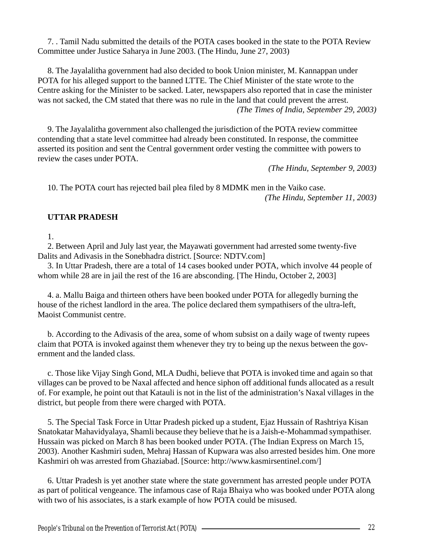7. . Tamil Nadu submitted the details of the POTA cases booked in the state to the POTA Review Committee under Justice Saharya in June 2003. (The Hindu, June 27, 2003)

8. The Jayalalitha government had also decided to book Union minister, M. Kannappan under POTA for his alleged support to the banned LTTE. The Chief Minister of the state wrote to the Centre asking for the Minister to be sacked. Later, newspapers also reported that in case the minister was not sacked, the CM stated that there was no rule in the land that could prevent the arrest. *(The Times of India, September 29, 2003)*

9. The Jayalalitha government also challenged the jurisdiction of the POTA review committee contending that a state level committee had already been constituted. In response, the committee asserted its position and sent the Central government order vesting the committee with powers to review the cases under POTA.

*(The Hindu, September 9, 2003)*

10. The POTA court has rejected bail plea filed by 8 MDMK men in the Vaiko case. *(The Hindu, September 11, 2003)*

# **UTTAR PRADESH**

1.

2. Between April and July last year, the Mayawati government had arrested some twenty-five Dalits and Adivasis in the Sonebhadra district. [Source: NDTV.com]

3. In Uttar Pradesh, there are a total of 14 cases booked under POTA, which involve 44 people of whom while 28 are in jail the rest of the 16 are absconding. [The Hindu, October 2, 2003]

4. a. Mallu Baiga and thirteen others have been booked under POTA for allegedly burning the house of the richest landlord in the area. The police declared them sympathisers of the ultra-left, Maoist Communist centre.

b. According to the Adivasis of the area, some of whom subsist on a daily wage of twenty rupees claim that POTA is invoked against them whenever they try to being up the nexus between the government and the landed class.

c. Those like Vijay Singh Gond, MLA Dudhi, believe that POTA is invoked time and again so that villages can be proved to be Naxal affected and hence siphon off additional funds allocated as a result of. For example, he point out that Katauli is not in the list of the administration's Naxal villages in the district, but people from there were charged with POTA.

5. The Special Task Force in Uttar Pradesh picked up a student, Ejaz Hussain of Rashtriya Kisan Snatokatar Mahavidyalaya, Shamli because they believe that he is a Jaish-e-Mohammad sympathiser. Hussain was picked on March 8 has been booked under POTA. (The Indian Express on March 15, 2003). Another Kashmiri suden, Mehraj Hassan of Kupwara was also arrested besides him. One more Kashmiri oh was arrested from Ghaziabad. [Source: http://www.kasmirsentinel.com/]

6. Uttar Pradesh is yet another state where the state government has arrested people under POTA as part of political vengeance. The infamous case of Raja Bhaiya who was booked under POTA along with two of his associates, is a stark example of how POTA could be misused.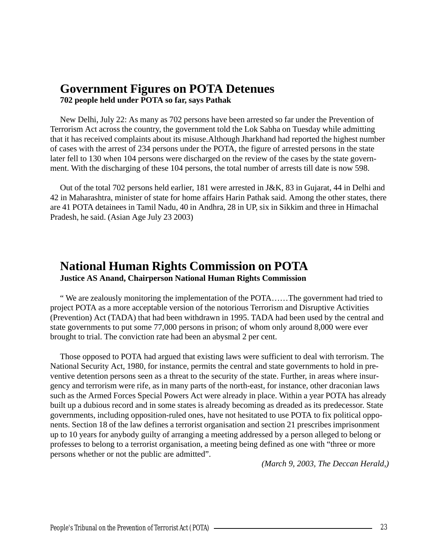# **Government Figures on POTA Detenues**

**702 people held under POTA so far, says Pathak**

New Delhi, July 22: As many as 702 persons have been arrested so far under the Prevention of Terrorism Act across the country, the government told the Lok Sabha on Tuesday while admitting that it has received complaints about its misuse.Although Jharkhand had reported the highest number of cases with the arrest of 234 persons under the POTA, the figure of arrested persons in the state later fell to 130 when 104 persons were discharged on the review of the cases by the state government. With the discharging of these 104 persons, the total number of arrests till date is now 598.

Out of the total 702 persons held earlier, 181 were arrested in J&K, 83 in Gujarat, 44 in Delhi and 42 in Maharashtra, minister of state for home affairs Harin Pathak said. Among the other states, there are 41 POTA detainees in Tamil Nadu, 40 in Andhra, 28 in UP, six in Sikkim and three in Himachal Pradesh, he said. (Asian Age July 23 2003)

# **National Human Rights Commission on POTA**

**Justice AS Anand, Chairperson National Human Rights Commission**

" We are zealously monitoring the implementation of the POTA……The government had tried to project POTA as a more acceptable version of the notorious Terrorism and Disruptive Activities (Prevention) Act (TADA) that had been withdrawn in 1995. TADA had been used by the central and state governments to put some 77,000 persons in prison; of whom only around 8,000 were ever brought to trial. The conviction rate had been an abysmal 2 per cent.

Those opposed to POTA had argued that existing laws were sufficient to deal with terrorism. The National Security Act, 1980, for instance, permits the central and state governments to hold in preventive detention persons seen as a threat to the security of the state. Further, in areas where insurgency and terrorism were rife, as in many parts of the north-east, for instance, other draconian laws such as the Armed Forces Special Powers Act were already in place. Within a year POTA has already built up a dubious record and in some states is already becoming as dreaded as its predecessor. State governments, including opposition-ruled ones, have not hesitated to use POTA to fix political opponents. Section 18 of the law defines a terrorist organisation and section 21 prescribes imprisonment up to 10 years for anybody guilty of arranging a meeting addressed by a person alleged to belong or professes to belong to a terrorist organisation, a meeting being defined as one with "three or more persons whether or not the public are admitted".

*(March 9, 2003, The Deccan Herald,)*